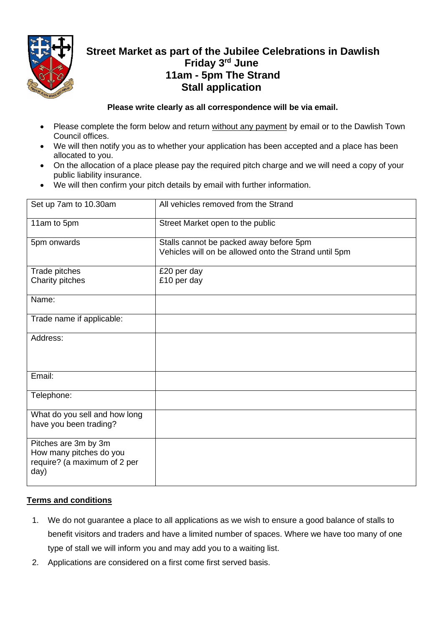

# **Street Market as part of the Jubilee Celebrations in Dawlish Friday 3rd June 11am - 5pm The Strand Stall application**

### **Please write clearly as all correspondence will be via email.**

- Please complete the form below and return without any payment by email or to the Dawlish Town Council offices.
- We will then notify you as to whether your application has been accepted and a place has been allocated to you.
- On the allocation of a place please pay the required pitch charge and we will need a copy of your public liability insurance.
- We will then confirm your pitch details by email with further information.

| Set up 7am to 10.30am                                                                   | All vehicles removed from the Strand                                                             |
|-----------------------------------------------------------------------------------------|--------------------------------------------------------------------------------------------------|
| 11am to 5pm                                                                             | Street Market open to the public                                                                 |
| 5pm onwards                                                                             | Stalls cannot be packed away before 5pm<br>Vehicles will on be allowed onto the Strand until 5pm |
| Trade pitches                                                                           | £20 per day                                                                                      |
| Charity pitches                                                                         | £10 per day                                                                                      |
| Name:                                                                                   |                                                                                                  |
| Trade name if applicable:                                                               |                                                                                                  |
| Address:                                                                                |                                                                                                  |
| Email:                                                                                  |                                                                                                  |
| Telephone:                                                                              |                                                                                                  |
| What do you sell and how long<br>have you been trading?                                 |                                                                                                  |
| Pitches are 3m by 3m<br>How many pitches do you<br>require? (a maximum of 2 per<br>day) |                                                                                                  |

## **Terms and conditions**

- 1. We do not guarantee a place to all applications as we wish to ensure a good balance of stalls to benefit visitors and traders and have a limited number of spaces. Where we have too many of one type of stall we will inform you and may add you to a waiting list.
- 2. Applications are considered on a first come first served basis.